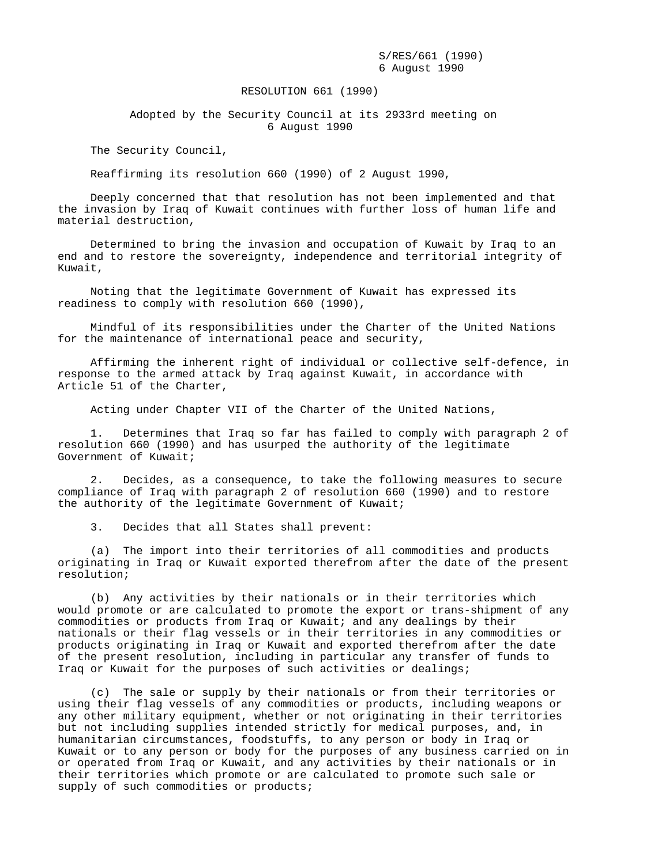S/RES/661 (1990) 6 August 1990

## RESOLUTION 661 (1990)

 Adopted by the Security Council at its 2933rd meeting on 6 August 1990

The Security Council,

Reaffirming its resolution 660 (1990) of 2 August 1990,

 Deeply concerned that that resolution has not been implemented and that the invasion by Iraq of Kuwait continues with further loss of human life and material destruction,

 Determined to bring the invasion and occupation of Kuwait by Iraq to an end and to restore the sovereignty, independence and territorial integrity of Kuwait,

 Noting that the legitimate Government of Kuwait has expressed its readiness to comply with resolution 660 (1990),

 Mindful of its responsibilities under the Charter of the United Nations for the maintenance of international peace and security,

 Affirming the inherent right of individual or collective self-defence, in response to the armed attack by Iraq against Kuwait, in accordance with Article 51 of the Charter,

Acting under Chapter VII of the Charter of the United Nations,

 1. Determines that Iraq so far has failed to comply with paragraph 2 of resolution 660 (1990) and has usurped the authority of the legitimate Government of Kuwait;

 2. Decides, as a consequence, to take the following measures to secure compliance of Iraq with paragraph 2 of resolution 660 (1990) and to restore the authority of the legitimate Government of Kuwait;

3. Decides that all States shall prevent:

 (a) The import into their territories of all commodities and products originating in Iraq or Kuwait exported therefrom after the date of the present resolution;

 (b) Any activities by their nationals or in their territories which would promote or are calculated to promote the export or trans-shipment of any commodities or products from Iraq or Kuwait; and any dealings by their nationals or their flag vessels or in their territories in any commodities or products originating in Iraq or Kuwait and exported therefrom after the date of the present resolution, including in particular any transfer of funds to Iraq or Kuwait for the purposes of such activities or dealings;

 (c) The sale or supply by their nationals or from their territories or using their flag vessels of any commodities or products, including weapons or any other military equipment, whether or not originating in their territories but not including supplies intended strictly for medical purposes, and, in humanitarian circumstances, foodstuffs, to any person or body in Iraq or Kuwait or to any person or body for the purposes of any business carried on in or operated from Iraq or Kuwait, and any activities by their nationals or in their territories which promote or are calculated to promote such sale or supply of such commodities or products;